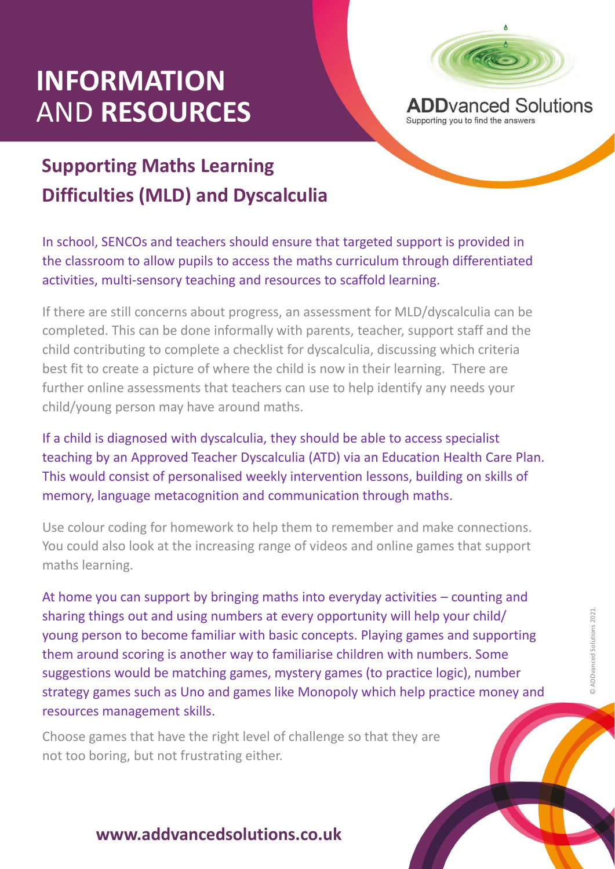## **INFORMATION** AND **RESOURCES**



Supporting you to find the answers

## **Supporting Maths Learning Difficulties (MLD) and Dyscalculia**

In school, SENCOs and teachers should ensure that targeted support is provided in the classroom to allow pupils to access the maths curriculum through differentiated activities, multi-sensory teaching and resources to scaffold learning.

If there are still concerns about progress, an assessment for MLD/dyscalculia can be completed. This can be done informally with parents, teacher, support staff and the child contributing to complete a checklist for dyscalculia, discussing which criteria best fit to create a picture of where the child is now in their learning. There are further online assessments that teachers can use to help identify any needs your child/young person may have around maths.

If a child is diagnosed with dyscalculia, they should be able to access specialist teaching by an Approved Teacher Dyscalculia (ATD) via an Education Health Care Plan. This would consist of personalised weekly intervention lessons, building on skills of memory, language metacognition and communication through maths.

Use colour coding for homework to help them to remember and make connections. You could also look at the increasing range of videos and online games that support maths learning.

them around scoring is another way to familiarise children with numbers. Some<br>suggestions would be matching games, mystery games (to practice logic), number<br>strategy games such as Uno and games like Monopoly which help pra At home you can support by bringing maths into everyday activities – counting and sharing things out and using numbers at every opportunity will help your child/ young person to become familiar with basic concepts. Playing games and supporting suggestions would be matching games, mystery games (to practice logic), number strategy games such as Uno and games like Monopoly which help practice money and resources management skills.

Choose games that have the right level of challenge so that they are not too boring, but not frustrating either.